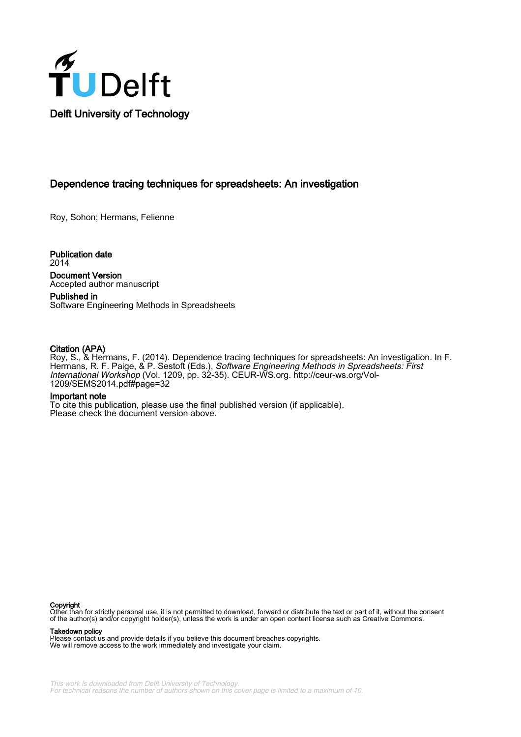

# Dependence tracing techniques for spreadsheets: An investigation

Roy, Sohon; Hermans, Felienne

Publication date 2014 Document Version Accepted author manuscript

Published in Software Engineering Methods in Spreadsheets

## Citation (APA)

Roy, S., & Hermans, F. (2014). Dependence tracing techniques for spreadsheets: An investigation. In F. Hermans, R. F. Paige, & P. Sestoft (Eds.), *Software Engineering Methods in Spreadsheets: First* International Workshop (Vol. 1209, pp. 32-35). CEUR-WS.org. [http://ceur-ws.org/Vol-](http://ceur-ws.org/Vol-1209/SEMS2014.pdf#page=32)[1209/SEMS2014.pdf#page=32](http://ceur-ws.org/Vol-1209/SEMS2014.pdf#page=32)

## Important note

To cite this publication, please use the final published version (if applicable). Please check the document version above.

#### Copyright

Other than for strictly personal use, it is not permitted to download, forward or distribute the text or part of it, without the consent of the author(s) and/or copyright holder(s), unless the work is under an open content license such as Creative Commons.

#### Takedown policy

Please contact us and provide details if you believe this document breaches copyrights. We will remove access to the work immediately and investigate your claim.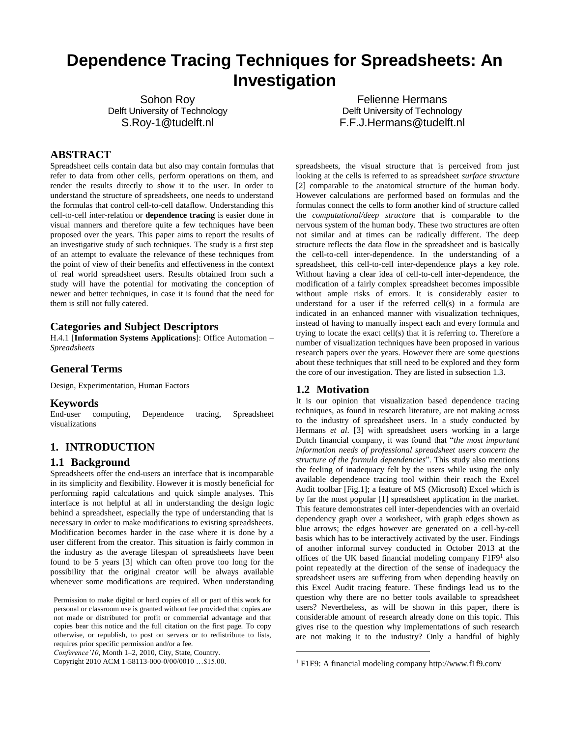# **Dependence Tracing Techniques for Spreadsheets: An Investigation**

Sohon Roy Delft University of Technology S.Roy-1@tudelft.nl

Felienne Hermans Delft University of Technology F.F.J.Hermans@tudelft.nl

## **ABSTRACT**

Spreadsheet cells contain data but also may contain formulas that refer to data from other cells, perform operations on them, and render the results directly to show it to the user. In order to understand the structure of spreadsheets, one needs to understand the formulas that control cell-to-cell dataflow. Understanding this cell-to-cell inter-relation or **dependence tracing** is easier done in visual manners and therefore quite a few techniques have been proposed over the years. This paper aims to report the results of an investigative study of such techniques. The study is a first step of an attempt to evaluate the relevance of these techniques from the point of view of their benefits and effectiveness in the context of real world spreadsheet users. Results obtained from such a study will have the potential for motivating the conception of newer and better techniques, in case it is found that the need for them is still not fully catered.

## **Categories and Subject Descriptors**

H.4.1 [**Information Systems Applications**]: Office Automation – *Spreadsheets*

#### **General Terms**

Design, Experimentation, Human Factors

#### **Keywords**

End-user computing, Dependence tracing, Spreadsheet visualizations

## **1. INTRODUCTION**

#### **1.1 Background**

Spreadsheets offer the end-users an interface that is incomparable in its simplicity and flexibility. However it is mostly beneficial for performing rapid calculations and quick simple analyses. This interface is not helpful at all in understanding the design logic behind a spreadsheet, especially the type of understanding that is necessary in order to make modifications to existing spreadsheets. Modification becomes harder in the case where it is done by a user different from the creator. This situation is fairly common in the industry as the average lifespan of spreadsheets have been found to be 5 years [3] which can often prove too long for the possibility that the original creator will be always available whenever some modifications are required. When understanding

*Conference'10*, Month 1–2, 2010, City, State, Country.

Copyright 2010 ACM 1-58113-000-0/00/0010 …\$15.00.

spreadsheets, the visual structure that is perceived from just looking at the cells is referred to as spreadsheet *surface structure* [2] comparable to the anatomical structure of the human body. However calculations are performed based on formulas and the formulas connect the cells to form another kind of structure called the *computational/deep structure* that is comparable to the nervous system of the human body. These two structures are often not similar and at times can be radically different. The deep structure reflects the data flow in the spreadsheet and is basically the cell-to-cell inter-dependence. In the understanding of a spreadsheet, this cell-to-cell inter-dependence plays a key role. Without having a clear idea of cell-to-cell inter-dependence, the modification of a fairly complex spreadsheet becomes impossible without ample risks of errors. It is considerably easier to understand for a user if the referred cell(s) in a formula are indicated in an enhanced manner with visualization techniques, instead of having to manually inspect each and every formula and trying to locate the exact cell(s) that it is referring to. Therefore a number of visualization techniques have been proposed in various research papers over the years. However there are some questions about these techniques that still need to be explored and they form the core of our investigation. They are listed in subsection 1.3.

## **1.2 Motivation**

l

It is our opinion that visualization based dependence tracing techniques, as found in research literature, are not making across to the industry of spreadsheet users. In a study conducted by Hermans *et al*. [3] with spreadsheet users working in a large Dutch financial company, it was found that "*the most important information needs of professional spreadsheet users concern the structure of the formula dependencies*". This study also mentions the feeling of inadequacy felt by the users while using the only available dependence tracing tool within their reach the Excel Audit toolbar [Fig.1]; a feature of MS (Microsoft) Excel which is by far the most popular [1] spreadsheet application in the market. This feature demonstrates cell inter-dependencies with an overlaid dependency graph over a worksheet, with graph edges shown as blue arrows; the edges however are generated on a cell-by-cell basis which has to be interactively activated by the user. Findings of another informal survey conducted in October 2013 at the offices of the UK based financial modeling company F1F9<sup>1</sup> also point repeatedly at the direction of the sense of inadequacy the spreadsheet users are suffering from when depending heavily on this Excel Audit tracing feature. These findings lead us to the question why there are no better tools available to spreadsheet users? Nevertheless, as will be shown in this paper, there is considerable amount of research already done on this topic. This gives rise to the question why implementations of such research are not making it to the industry? Only a handful of highly

Permission to make digital or hard copies of all or part of this work for personal or classroom use is granted without fee provided that copies are not made or distributed for profit or commercial advantage and that copies bear this notice and the full citation on the first page. To copy otherwise, or republish, to post on servers or to redistribute to lists, requires prior specific permission and/or a fee.

<sup>1</sup> F1F9: A financial modeling company http://www.f1f9.com/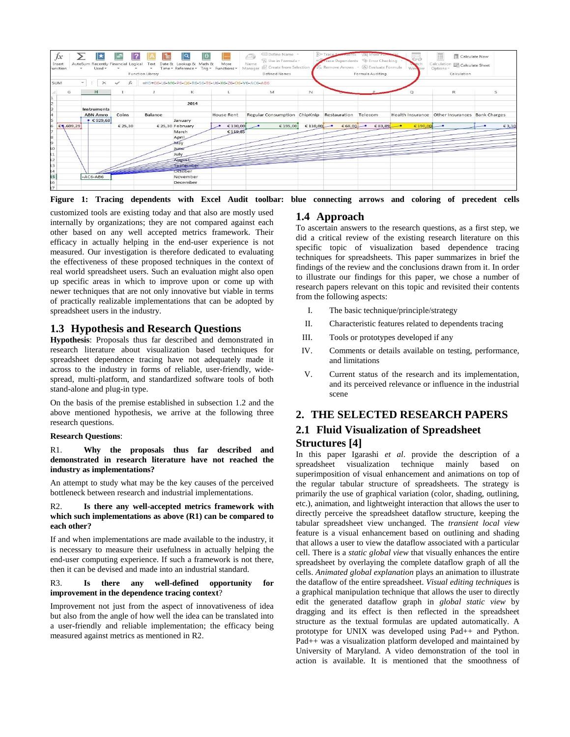

**Figure 1: Tracing dependents with Excel Audit toolbar: blue connecting arrows and coloring of precedent cells**

customized tools are existing today and that also are mostly used internally by organizations; they are not compared against each other based on any well accepted metrics framework. Their efficacy in actually helping in the end-user experience is not measured. Our investigation is therefore dedicated to evaluating the effectiveness of these proposed techniques in the context of real world spreadsheet users. Such an evaluation might also open up specific areas in which to improve upon or come up with newer techniques that are not only innovative but viable in terms of practically realizable implementations that can be adopted by spreadsheet users in the industry.

## **1.3 Hypothesis and Research Questions**

**Hypothesis**: Proposals thus far described and demonstrated in research literature about visualization based techniques for spreadsheet dependence tracing have not adequately made it across to the industry in forms of reliable, user-friendly, widespread, multi-platform, and standardized software tools of both stand-alone and plug-in type.

On the basis of the premise established in subsection 1.2 and the above mentioned hypothesis, we arrive at the following three research questions.

## **Research Questions**:

R1. **Why the proposals thus far described and demonstrated in research literature have not reached the industry as implementations?**

An attempt to study what may be the key causes of the perceived bottleneck between research and industrial implementations.

#### R2. **Is there any well-accepted metrics framework with which such implementations as above (R1) can be compared to each other?**

If and when implementations are made available to the industry, it is necessary to measure their usefulness in actually helping the end-user computing experience. If such a framework is not there, then it can be devised and made into an industrial standard.

#### R3. **Is there any well-defined opportunity for improvement in the dependence tracing context**?

Improvement not just from the aspect of innovativeness of idea but also from the angle of how well the idea can be translated into a user-friendly and reliable implementation; the efficacy being measured against metrics as mentioned in R2.

# **1.4 Approach**

To ascertain answers to the research questions, as a first step, we did a critical review of the existing research literature on this specific topic of visualization based dependence tracing techniques for spreadsheets. This paper summarizes in brief the findings of the review and the conclusions drawn from it. In order to illustrate our findings for this paper, we chose a number of research papers relevant on this topic and revisited their contents from the following aspects:

- I. The basic technique/principle/strategy
- II. Characteristic features related to dependents tracing
- III. Tools or prototypes developed if any
- IV. Comments or details available on testing, performance, and limitations
- V. Current status of the research and its implementation, and its perceived relevance or influence in the industrial scene

# **2. THE SELECTED RESEARCH PAPERS 2.1 Fluid Visualization of Spreadsheet Structures [4]**

In this paper Igarashi *et al*. provide the description of a spreadsheet visualization technique mainly based on superimposition of visual enhancement and animations on top of the regular tabular structure of spreadsheets. The strategy is primarily the use of graphical variation (color, shading, outlining, etc.), animation, and lightweight interaction that allows the user to directly perceive the spreadsheet dataflow structure, keeping the tabular spreadsheet view unchanged. The *transient local view* feature is a visual enhancement based on outlining and shading that allows a user to view the dataflow associated with a particular cell. There is a *static global view* that visually enhances the entire spreadsheet by overlaying the complete dataflow graph of all the cells. *Animated global explanation* plays an animation to illustrate the dataflow of the entire spreadsheet. *Visual editing techniques* is a graphical manipulation technique that allows the user to directly edit the generated dataflow graph in *global static view* by dragging and its effect is then reflected in the spreadsheet structure as the textual formulas are updated automatically. A prototype for UNIX was developed using Pad++ and Python. Pad++ was a visualization platform developed and maintained by University of Maryland. A video demonstration of the tool in action is available. It is mentioned that the smoothness of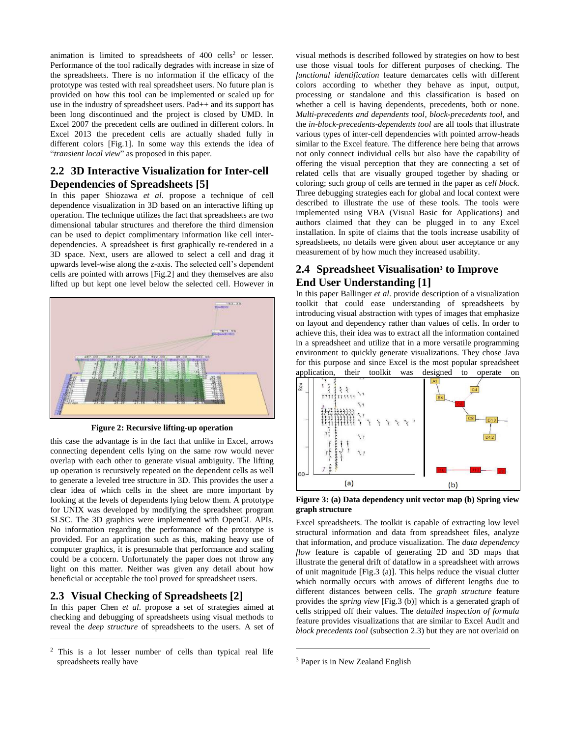animation is limited to spreadsheets of  $400$  cells<sup>2</sup> or lesser. Performance of the tool radically degrades with increase in size of the spreadsheets. There is no information if the efficacy of the prototype was tested with real spreadsheet users. No future plan is provided on how this tool can be implemented or scaled up for use in the industry of spreadsheet users. Pad++ and its support has been long discontinued and the project is closed by UMD. In Excel 2007 the precedent cells are outlined in different colors. In Excel 2013 the precedent cells are actually shaded fully in different colors [Fig.1]. In some way this extends the idea of "*transient local view*" as proposed in this paper.

# **2.2 3D Interactive Visualization for Inter-cell Dependencies of Spreadsheets [5]**

In this paper Shiozawa *et al*. propose a technique of cell dependence visualization in 3D based on an interactive lifting up operation. The technique utilizes the fact that spreadsheets are two dimensional tabular structures and therefore the third dimension can be used to depict complimentary information like cell interdependencies. A spreadsheet is first graphically re-rendered in a 3D space. Next, users are allowed to select a cell and drag it upwards level-wise along the z-axis. The selected cell's dependent cells are pointed with arrows [Fig.2] and they themselves are also lifted up but kept one level below the selected cell. However in



**Figure 2: Recursive lifting-up operation**

this case the advantage is in the fact that unlike in Excel, arrows connecting dependent cells lying on the same row would never overlap with each other to generate visual ambiguity. The lifting up operation is recursively repeated on the dependent cells as well to generate a leveled tree structure in 3D. This provides the user a clear idea of which cells in the sheet are more important by looking at the levels of dependents lying below them. A prototype for UNIX was developed by modifying the spreadsheet program SLSC. The 3D graphics were implemented with OpenGL APIs. No information regarding the performance of the prototype is provided. For an application such as this, making heavy use of computer graphics, it is presumable that performance and scaling could be a concern. Unfortunately the paper does not throw any light on this matter. Neither was given any detail about how beneficial or acceptable the tool proved for spreadsheet users.

## **2.3 Visual Checking of Spreadsheets [2]**

l

In this paper Chen *et al*. propose a set of strategies aimed at checking and debugging of spreadsheets using visual methods to reveal the *deep structure* of spreadsheets to the users. A set of

visual methods is described followed by strategies on how to best use those visual tools for different purposes of checking. The *functional identification* feature demarcates cells with different colors according to whether they behave as input, output, processing or standalone and this classification is based on whether a cell is having dependents, precedents, both or none. *Multi-precedents and dependents tool*, *block-precedents tool,* and the *in-block-precedents-dependents tool* are all tools that illustrate various types of inter-cell dependencies with pointed arrow-heads similar to the Excel feature. The difference here being that arrows not only connect individual cells but also have the capability of offering the visual perception that they are connecting a set of related cells that are visually grouped together by shading or coloring; such group of cells are termed in the paper as *cell block*. Three debugging strategies each for global and local context were described to illustrate the use of these tools. The tools were implemented using VBA (Visual Basic for Applications) and authors claimed that they can be plugged in to any Excel installation. In spite of claims that the tools increase usability of spreadsheets, no details were given about user acceptance or any measurement of by how much they increased usability.

# **2.4 Spreadsheet Visualisation<sup>3</sup> to Improve End User Understanding [1]**

In this paper Ballinger *et al*. provide description of a visualization toolkit that could ease understanding of spreadsheets by introducing visual abstraction with types of images that emphasize on layout and dependency rather than values of cells. In order to achieve this, their idea was to extract all the information contained in a spreadsheet and utilize that in a more versatile programming environment to quickly generate visualizations. They chose Java for this purpose and since Excel is the most popular spreadsheet application, their toolkit was designed to operate on



**Figure 3: (a) Data dependency unit vector map (b) Spring view graph structure**

Excel spreadsheets. The toolkit is capable of extracting low level structural information and data from spreadsheet files, analyze that information, and produce visualization. The *data dependency flow* feature is capable of generating 2D and 3D maps that illustrate the general drift of dataflow in a spreadsheet with arrows of unit magnitude [Fig.3 (a)]. This helps reduce the visual clutter which normally occurs with arrows of different lengths due to different distances between cells. The *graph structure* feature provides the *spring view* [Fig.3 (b)] which is a generated graph of cells stripped off their values. The *detailed inspection of formula*  feature provides visualizations that are similar to Excel Audit and *block precedents tool* (subsection 2.3) but they are not overlaid on

l

<sup>2</sup> This is a lot lesser number of cells than typical real life spreadsheets really have

<sup>3</sup> Paper is in New Zealand English